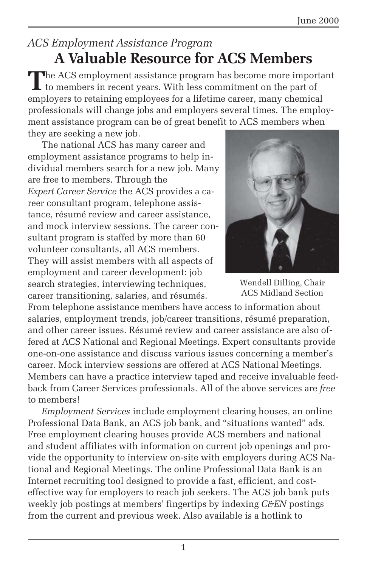## *ACS Employment Assistance Program* **A Valuable Resource for ACS Members**

**T**he ACS employment assistance program has become more important  $\mathsf{L}\$  to members in recent years. With less commitment on the part of employers to retaining employees for a lifetime career, many chemical professionals will change jobs and employers several times. The employment assistance program can be of great benefit to ACS members when they are seeking a new job.

The national ACS has many career and employment assistance programs to help individual members search for a new job. Many are free to members. Through the *Expert Career Service* the ACS provides a career consultant program, telephone assistance, résumé review and career assistance, and mock interview sessions. The career consultant program is staffed by more than 60 volunteer consultants, all ACS members. They will assist members with all aspects of employment and career development: job search strategies, interviewing techniques, career transitioning, salaries, and résumés.



Wendell Dilling, Chair ACS Midland Section

From telephone assistance members have access to information about salaries, employment trends, job/career transitions, résumé preparation, and other career issues. Résumé review and career assistance are also offered at ACS National and Regional Meetings. Expert consultants provide one-on-one assistance and discuss various issues concerning a member's career. Mock interview sessions are offered at ACS National Meetings. Members can have a practice interview taped and receive invaluable feedback from Career Services professionals. All of the above services are *free* to members!

*Employment Services* include employment clearing houses, an online Professional Data Bank, an ACS job bank, and "situations wanted" ads. Free employment clearing houses provide ACS members and national and student affiliates with information on current job openings and provide the opportunity to interview on-site with employers during ACS National and Regional Meetings. The online Professional Data Bank is an Internet recruiting tool designed to provide a fast, efficient, and costeffective way for employers to reach job seekers. The ACS job bank puts weekly job postings at members' fingertips by indexing *C&EN* postings from the current and previous week. Also available is a hotlink to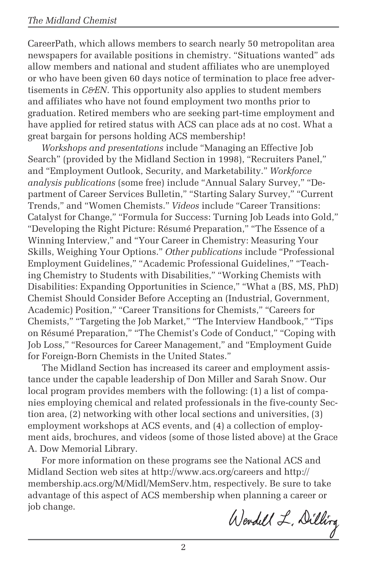CareerPath, which allows members to search nearly 50 metropolitan area newspapers for available positions in chemistry. "Situations wanted" ads allow members and national and student affiliates who are unemployed or who have been given 60 days notice of termination to place free advertisements in *C&EN*. This opportunity also applies to student members and affiliates who have not found employment two months prior to graduation. Retired members who are seeking part-time employment and have applied for retired status with ACS can place ads at no cost. What a great bargain for persons holding ACS membership!

*Workshops and presentations* include "Managing an Effective Job Search" (provided by the Midland Section in 1998), "Recruiters Panel," and "Employment Outlook, Security, and Marketability." *Workforce analysis publications* (some free) include "Annual Salary Survey," "Department of Career Services Bulletin," "Starting Salary Survey," "Current Trends," and "Women Chemists." *Videos* include "Career Transitions: Catalyst for Change," "Formula for Success: Turning Job Leads into Gold," "Developing the Right Picture: Résumé Preparation," "The Essence of a Winning Interview," and "Your Career in Chemistry: Measuring Your Skills, Weighing Your Options." *Other publications* include "Professional Employment Guidelines," "Academic Professional Guidelines," "Teaching Chemistry to Students with Disabilities," "Working Chemists with Disabilities: Expanding Opportunities in Science," "What a (BS, MS, PhD) Chemist Should Consider Before Accepting an (Industrial, Government, Academic) Position," "Career Transitions for Chemists," "Careers for Chemists," "Targeting the Job Market," "The Interview Handbook," "Tips on Résumé Preparation," "The Chemist's Code of Conduct," "Coping with Job Loss," "Resources for Career Management," and "Employment Guide for Foreign-Born Chemists in the United States."

The Midland Section has increased its career and employment assistance under the capable leadership of Don Miller and Sarah Snow. Our local program provides members with the following: (1) a list of companies employing chemical and related professionals in the five-county Section area, (2) networking with other local sections and universities, (3) employment workshops at ACS events, and (4) a collection of employment aids, brochures, and videos (some of those listed above) at the Grace A. Dow Memorial Library.

For more information on these programs see the National ACS and Midland Section web sites at http://www.acs.org/careers and http:// membership.acs.org/M/Midl/MemServ.htm, respectively. Be sure to take advantage of this aspect of ACS membership when planning a career or job change.

Wendell L. Dilling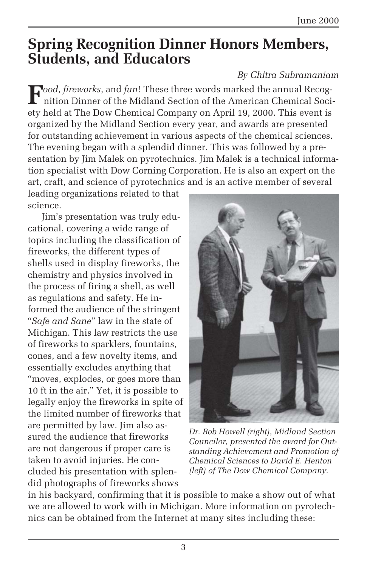# **Spring Recognition Dinner Honors Members, Students, and Educators**

### *By Chitra Subramaniam*

 $\mathbf{F}^{ood, \textit{fireworks}},$  and *fun*! These three words marked the annual Recognition Dinner of the Midland Section of the American Chemical Society held at The Dow Chemical Company on April 19, 2000. This event is organized by the Midland Section every year, and awards are presented for outstanding achievement in various aspects of the chemical sciences. The evening began with a splendid dinner. This was followed by a presentation by Jim Malek on pyrotechnics. Jim Malek is a technical information specialist with Dow Corning Corporation. He is also an expert on the art, craft, and science of pyrotechnics and is an active member of several

leading organizations related to that science.

Jim's presentation was truly educational, covering a wide range of topics including the classification of fireworks, the different types of shells used in display fireworks, the chemistry and physics involved in the process of firing a shell, as well as regulations and safety. He informed the audience of the stringent "*Safe and Sane*" law in the state of Michigan. This law restricts the use of fireworks to sparklers, fountains, cones, and a few novelty items, and essentially excludes anything that "moves, explodes, or goes more than 10 ft in the air." Yet, it is possible to legally enjoy the fireworks in spite of the limited number of fireworks that are permitted by law. Jim also assured the audience that fireworks are not dangerous if proper care is taken to avoid injuries. He concluded his presentation with splendid photographs of fireworks shows



*Dr. Bob Howell (right), Midland Section Councilor, presented the award for Outstanding Achievement and Promotion of Chemical Sciences to David E. Henton (left) of The Dow Chemical Company.*

in his backyard, confirming that it is possible to make a show out of what we are allowed to work with in Michigan. More information on pyrotechnics can be obtained from the Internet at many sites including these: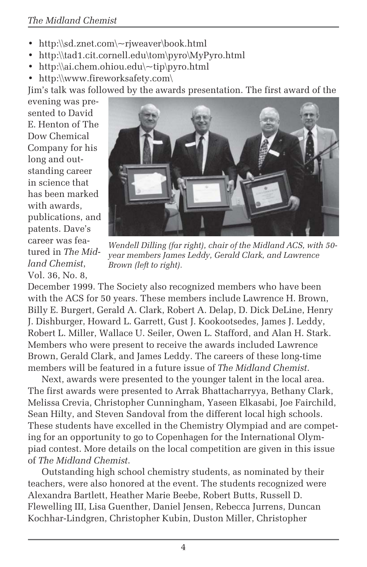- http:\\sd.znet.com\~rjweaver\book.html
- http:\\tad1.cit.cornell.edu\tom\pyro\MyPyro.html
- http:\\ai.chem.ohiou.edu\~tip\pyro.html
- http:\\www.fireworksafety.com\

Jim's talk was followed by the awards presentation. The first award of the

evening was presented to David E. Henton of The Dow Chemical Company for his long and outstanding career in science that has been marked with awards, publications, and patents. Dave's career was featured in *The Midland Chemist*, Vol. 36, No. 8,



*Wendell Dilling (far right), chair of the Midland ACS, with 50 year members James Leddy, Gerald Clark, and Lawrence Brown (left to right).*

December 1999. The Society also recognized members who have been with the ACS for 50 years. These members include Lawrence H. Brown, Billy E. Burgert, Gerald A. Clark, Robert A. Delap, D. Dick DeLine, Henry J. Dishburger, Howard L. Garrett, Gust J. Kookootsedes, James J. Leddy, Robert L. Miller, Wallace U. Seiler, Owen L. Stafford, and Alan H. Stark. Members who were present to receive the awards included Lawrence Brown, Gerald Clark, and James Leddy. The careers of these long-time members will be featured in a future issue of *The Midland Chemist*.

Next, awards were presented to the younger talent in the local area. The first awards were presented to Arrak Bhattacharryya, Bethany Clark, Melissa Crevia, Christopher Cunningham, Yaseen Elkasabi, Joe Fairchild, Sean Hilty, and Steven Sandoval from the different local high schools. These students have excelled in the Chemistry Olympiad and are competing for an opportunity to go to Copenhagen for the International Olympiad contest. More details on the local competition are given in this issue of *The Midland Chemist*.

Outstanding high school chemistry students, as nominated by their teachers, were also honored at the event. The students recognized were Alexandra Bartlett, Heather Marie Beebe, Robert Butts, Russell D. Flewelling III, Lisa Guenther, Daniel Jensen, Rebecca Jurrens, Duncan Kochhar-Lindgren, Christopher Kubin, Duston Miller, Christopher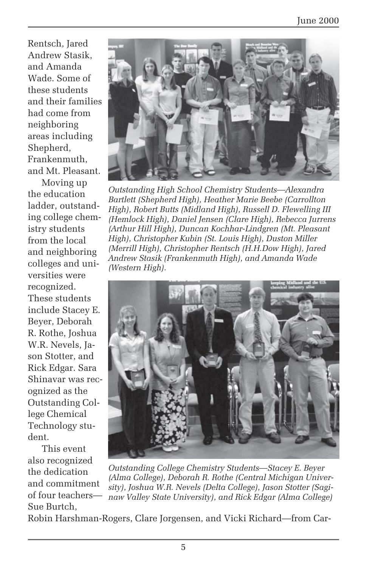Rentsch, Jared Andrew Stasik, and Amanda Wade. Some of these students and their families had come from neighboring areas including Shepherd, Frankenmuth, and Mt. Pleasant.

Moving up the education ladder, outstanding college chemistry students from the local and neighboring colleges and universities were recognized. These students include Stacey E. Beyer, Deborah R. Rothe, Joshua W.R. Nevels, Jason Stotter, and Rick Edgar. Sara Shinavar was recognized as the Outstanding College Chemical Technology student.

This event also recognized the dedication and commitment of four teachers— Sue Burtch,



*Outstanding High School Chemistry Students—Alexandra Bartlett (Shepherd High), Heather Marie Beebe (Carrollton High), Robert Butts (Midland High), Russell D. Flewelling III (Hemlock High), Daniel Jensen (Clare High), Rebecca Jurrens (Arthur Hill High), Duncan Kochhar-Lindgren (Mt. Pleasant High), Christopher Kubin (St. Louis High), Duston Miller (Merrill High), Christopher Rentsch (H.H.Dow High), Jared Andrew Stasik (Frankenmuth High), and Amanda Wade (Western High).*



*Outstanding College Chemistry Students—Stacey E. Beyer (Alma College), Deborah R. Rothe (Central Michigan University), Joshua W.R. Nevels (Delta College), Jason Stotter (Saginaw Valley State University), and Rick Edgar (Alma College)*

Robin Harshman-Rogers, Clare Jorgensen, and Vicki Richard—from Car-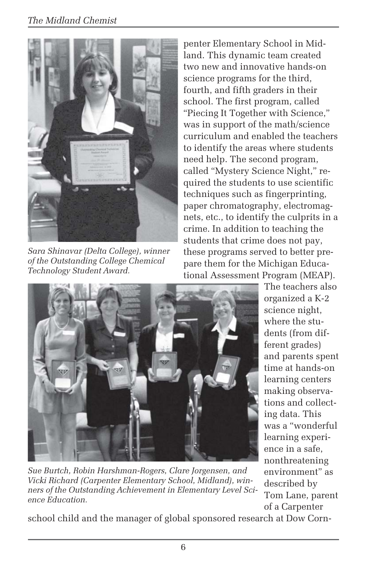

*Sara Shinavar (Delta College), winner of the Outstanding College Chemical Technology Student Award.*

penter Elementary School in Midland. This dynamic team created two new and innovative hands-on science programs for the third, fourth, and fifth graders in their school. The first program, called "Piecing It Together with Science," was in support of the math/science curriculum and enabled the teachers to identify the areas where students need help. The second program, called "Mystery Science Night," required the students to use scientific techniques such as fingerprinting, paper chromatography, electromagnets, etc., to identify the culprits in a crime. In addition to teaching the students that crime does not pay, these programs served to better prepare them for the Michigan Educational Assessment Program (MEAP).



*Sue Burtch, Robin Harshman-Rogers, Clare Jorgensen, and Vicki Richard (Carpenter Elementary School, Midland), winners of the Outstanding Achievement in Elementary Level Science Education.*

The teachers also organized a K-2 science night, where the students (from different grades) and parents spent time at hands-on learning centers making observations and collecting data. This was a "wonderful learning experience in a safe, nonthreatening environment" as described by Tom Lane, parent of a Carpenter

school child and the manager of global sponsored research at Dow Corn-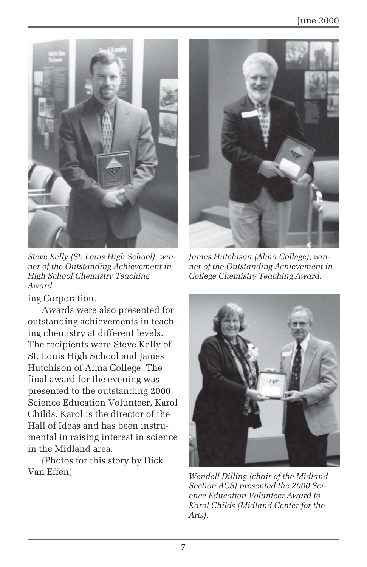

*Steve Kelly (St. Louis High School), winner of the Outstanding Achievement in High School Chemistry Teaching Award.*

ing Corporation.

Awards were also presented for outstanding achievements in teaching chemistry at different levels. The recipients were Steve Kelly of St. Louis High School and James Hutchison of Alma College. The final award for the evening was presented to the outstanding 2000 Science Education Volunteer, Karol Childs. Karol is the director of the Hall of Ideas and has been instrumental in raising interest in science in the Midland area.

(Photos for this story by Dick Van Effen)



*James Hutchison (Alma College), winner of the Outstanding Achievement in College Chemistry Teaching Award.*



*Wendell Dilling (chair of the Midland Section ACS) presented the 2000 Science Education Volunteer Award to Karol Childs (Midland Center for the Arts).*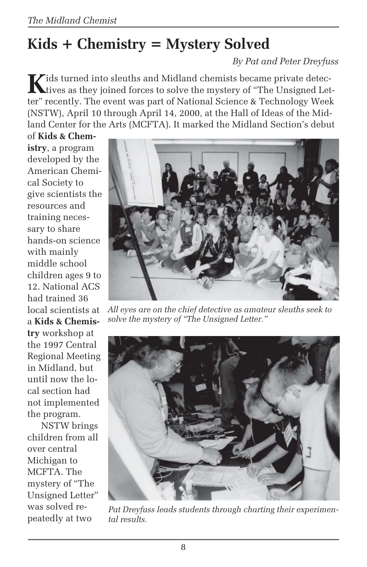# **Kids + Chemistry = Mystery Solved**

*By Pat and Peter Dreyfuss*

**K**ids turned into sleuths and Midland chemists became private detectives as they joined forces to solve the mystery of "The Unsigned Letter" recently. The event was part of National Science & Technology Week (NSTW), April 10 through April 14, 2000, at the Hall of Ideas of the Midland Center for the Arts (MCFTA). It marked the Midland Section's debut

of **Kids & Chemistry**, a program developed by the American Chemical Society to give scientists the resources and training necessary to share hands-on science with mainly middle school children ages 9 to 12. National ACS had trained 36 local scientists at a **Kids & Chemistry** workshop at the 1997 Central Regional Meeting in Midland, but until now the local section had not implemented the program.

NSTW brings children from all over central Michigan to MCFTA. The mystery of "The Unsigned Letter" was solved repeatedly at two



*All eyes are on the chief detective as amateur sleuths seek to solve the mystery of "The Unsigned Letter."*



*Pat Dreyfuss leads students through charting their experimental results.*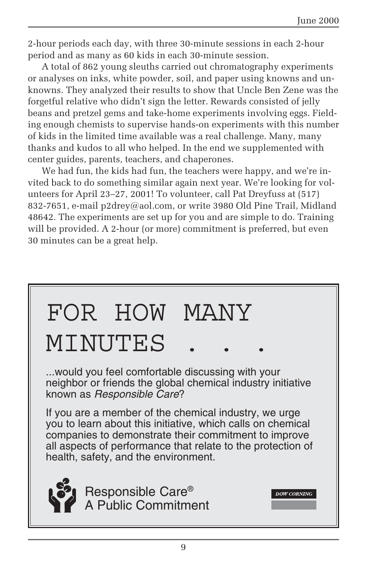2-hour periods each day, with three 30-minute sessions in each 2-hour period and as many as 60 kids in each 30-minute session.

A total of 862 young sleuths carried out chromatography experiments or analyses on inks, white powder, soil, and paper using knowns and unknowns. They analyzed their results to show that Uncle Ben Zene was the forgetful relative who didn't sign the letter. Rewards consisted of jelly beans and pretzel gems and take-home experiments involving eggs. Fielding enough chemists to supervise hands-on experiments with this number of kids in the limited time available was a real challenge. Many, many thanks and kudos to all who helped. In the end we supplemented with center guides, parents, teachers, and chaperones.

We had fun, the kids had fun, the teachers were happy, and we're invited back to do something similar again next year. We're looking for volunteers for April 23–27, 2001! To volunteer, call Pat Dreyfuss at (517) 832-7651, e-mail p2drey@aol.com, or write 3980 Old Pine Trail, Midland 48642. The experiments are set up for you and are simple to do. Training will be provided. A 2-hour (or more) commitment is preferred, but even 30 minutes can be a great help.

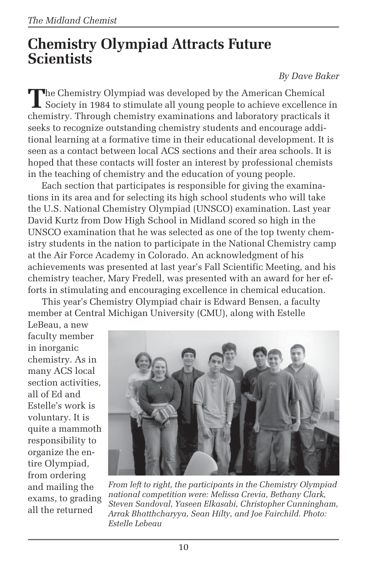# **Chemistry Olympiad Attracts Future Scientists**

#### *By Dave Baker*

The Chemistry Olympiad was developed by the American Chemical<br>Society in 1984 to stimulate all young people to achieve excellence in chemistry. Through chemistry examinations and laboratory practicals it seeks to recognize outstanding chemistry students and encourage additional learning at a formative time in their educational development. It is seen as a contact between local ACS sections and their area schools. It is hoped that these contacts will foster an interest by professional chemists in the teaching of chemistry and the education of young people.

Each section that participates is responsible for giving the examinations in its area and for selecting its high school students who will take the U.S. National Chemistry Olympiad (UNSCO) examination. Last year David Kurtz from Dow High School in Midland scored so high in the UNSCO examination that he was selected as one of the top twenty chemistry students in the nation to participate in the National Chemistry camp at the Air Force Academy in Colorado. An acknowledgment of his achievements was presented at last year's Fall Scientific Meeting, and his chemistry teacher, Mary Fredell, was presented with an award for her efforts in stimulating and encouraging excellence in chemical education.

This year's Chemistry Olympiad chair is Edward Bensen, a faculty member at Central Michigan University (CMU), along with Estelle

LeBeau, a new faculty member in inorganic chemistry. As in many ACS local section activities, all of Ed and Estelle's work is voluntary. It is quite a mammoth responsibility to organize the entire Olympiad, from ordering and mailing the exams, to grading all the returned



*From left to right, the participants in the Chemistry Olympiad national competition were: Melissa Crevia, Bethany Clark, Steven Sandoval, Yaseen Elkasabi, Christopher Cunningham, Arrak Bhatthcharyya, Sean Hilty, and Joe Fairchild. Photo: Estelle Lebeau*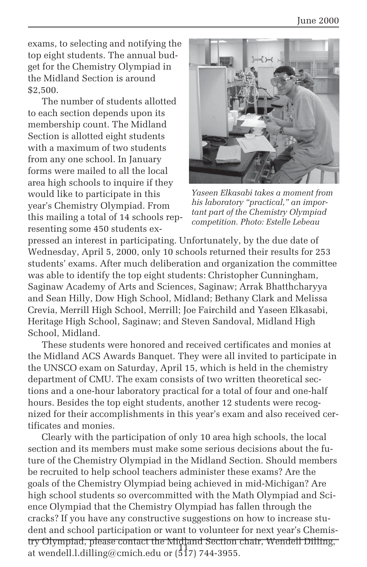exams, to selecting and notifying the top eight students. The annual budget for the Chemistry Olympiad in the Midland Section is around \$2,500.

The number of students allotted to each section depends upon its membership count. The Midland Section is allotted eight students with a maximum of two students from any one school. In January forms were mailed to all the local area high schools to inquire if they would like to participate in this year's Chemistry Olympiad. From this mailing a total of 14 schools representing some 450 students ex-



*Yaseen Elkasabi takes a moment from his laboratory "practical," an important part of the Chemistry Olympiad competition. Photo: Estelle Lebeau*

pressed an interest in participating. Unfortunately, by the due date of Wednesday, April 5, 2000, only 10 schools returned their results for 253 students' exams. After much deliberation and organization the committee was able to identify the top eight students: Christopher Cunningham, Saginaw Academy of Arts and Sciences, Saginaw; Arrak Bhatthcharyya and Sean Hilly, Dow High School, Midland; Bethany Clark and Melissa Crevia, Merrill High School, Merrill; Joe Fairchild and Yaseen Elkasabi, Heritage High School, Saginaw; and Steven Sandoval, Midland High School, Midland.

These students were honored and received certificates and monies at the Midland ACS Awards Banquet. They were all invited to participate in the UNSCO exam on Saturday, April 15, which is held in the chemistry department of CMU. The exam consists of two written theoretical sections and a one-hour laboratory practical for a total of four and one-half hours. Besides the top eight students, another 12 students were recognized for their accomplishments in this year's exam and also received certificates and monies.

11 at wendell.l.dilling@cmich.edu or (517) 744-3955. Clearly with the participation of only 10 area high schools, the local section and its members must make some serious decisions about the future of the Chemistry Olympiad in the Midland Section. Should members be recruited to help school teachers administer these exams? Are the goals of the Chemistry Olympiad being achieved in mid-Michigan? Are high school students so overcommitted with the Math Olympiad and Science Olympiad that the Chemistry Olympiad has fallen through the cracks? If you have any constructive suggestions on how to increase student and school participation or want to volunteer for next year's Chemistry Olympiad, please contact the Midland Section chair, Wendell Dilling,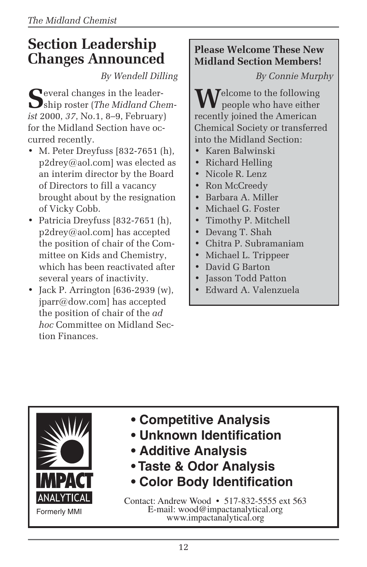# **Section Leadership Changes Announced**

*By Wendell Dilling*

**S**everal changes in the leader-ship roster (*The Midland Chemist* 2000, *37*, No.1, 8–9, February) for the Midland Section have occurred recently.

- M. Peter Dreyfuss [832-7651 (h), p2drey@aol.com] was elected as an interim director by the Board of Directors to fill a vacancy brought about by the resignation of Vicky Cobb.
- Patricia Dreyfuss [832-7651 (h), p2drey@aol.com] has accepted the position of chair of the Committee on Kids and Chemistry, which has been reactivated after several years of inactivity.
- Jack P. Arrington [636-2939 (w), jparr@dow.com] has accepted the position of chair of the *ad hoc* Committee on Midland Section Finances.

### **Please Welcome These New Midland Section Members!**

*By Connie Murphy*

**Telcome to the following** people who have either recently joined the American Chemical Society or transferred into the Midland Section:

- Karen Balwinski
- Richard Helling
- Nicole R. Lenz
- Ron McCreedy
- Barbara A. Miller • Michael G. Foster
- Timothy P. Mitchell
- Devang T. Shah
- Chitra P. Subramaniam
- Michael L. Trippeer
- David G Barton
- Jasson Todd Patton
- Edward A. Valenzuela



- **Competitive Analysis**
- **Unknown Identification**
- **Additive Analysis**
- **Taste & Odor Analysis**
- **Color Body Identification**

Contact: Andrew Wood • 517-832-5555 ext 563 E-mail: wood@impactanalytical.org www.impactanalytical.org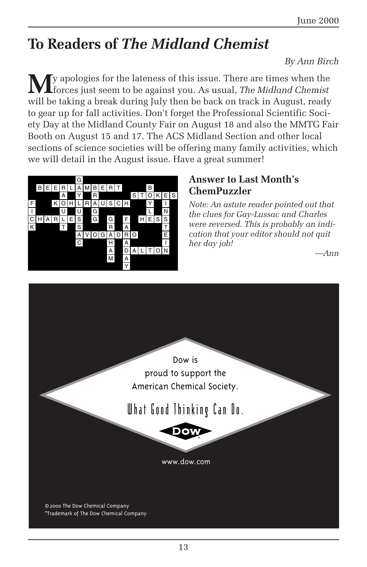# **To Readers of** *The Midland Chemist*

#### *By Ann Birch*

**M**y apologies for the lateness of this issue. There are times when the forces just seem to be against you. As usual, *The Midland Chemist* will be taking a break during July then be back on track in August, ready to gear up for fall activities. Don't forget the Professional Scientific Society Day at the Midland County Fair on August 18 and also the MMTG Fair Booth on August 15 and 17. The ACS Midland Section and other local sections of science societies will be offering many family activities, which we will detail in the August issue. Have a great summer!



### **Answer to Last Month's ChemPuzzler**

*Note: An astute reader pointed out that the clues for Gay-Lussac and Charles were reversed. This is probably an indication that your editor should not quit her day job!*

*—Ann*